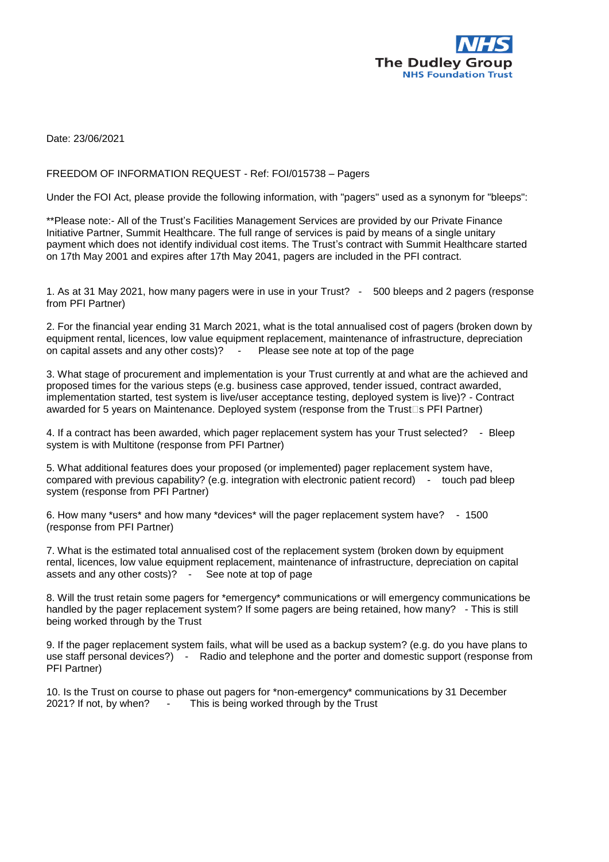

Date: 23/06/2021

## FREEDOM OF INFORMATION REQUEST - Ref: FOI/015738 – Pagers

Under the FOI Act, please provide the following information, with "pagers" used as a synonym for "bleeps":

\*\*Please note:- All of the Trust's Facilities Management Services are provided by our Private Finance Initiative Partner, Summit Healthcare. The full range of services is paid by means of a single unitary payment which does not identify individual cost items. The Trust's contract with Summit Healthcare started on 17th May 2001 and expires after 17th May 2041, pagers are included in the PFI contract.

1. As at 31 May 2021, how many pagers were in use in your Trust? - 500 bleeps and 2 pagers (response from PFI Partner)

2. For the financial year ending 31 March 2021, what is the total annualised cost of pagers (broken down by equipment rental, licences, low value equipment replacement, maintenance of infrastructure, depreciation on capital assets and any other costs)? - Please see note at top of the page

3. What stage of procurement and implementation is your Trust currently at and what are the achieved and proposed times for the various steps (e.g. business case approved, tender issued, contract awarded, implementation started, test system is live/user acceptance testing, deployed system is live)? - Contract awarded for 5 years on Maintenance. Deployed system (response from the Trust<sup>[5]</sup> SPFI Partner)

4. If a contract has been awarded, which pager replacement system has your Trust selected? - Bleep system is with Multitone (response from PFI Partner)

5. What additional features does your proposed (or implemented) pager replacement system have, compared with previous capability? (e.g. integration with electronic patient record) - touch pad bleep system (response from PFI Partner)

6. How many \*users\* and how many \*devices\* will the pager replacement system have? - 1500 (response from PFI Partner)

7. What is the estimated total annualised cost of the replacement system (broken down by equipment rental, licences, low value equipment replacement, maintenance of infrastructure, depreciation on capital assets and any other costs)? - See note at top of page

8. Will the trust retain some pagers for \*emergency\* communications or will emergency communications be handled by the pager replacement system? If some pagers are being retained, how many? - This is still being worked through by the Trust

9. If the pager replacement system fails, what will be used as a backup system? (e.g. do you have plans to use staff personal devices?) - Radio and telephone and the porter and domestic support (response from PFI Partner)

10. Is the Trust on course to phase out pagers for \*non-emergency\* communications by 31 December 2021? If not, by when? - This is being worked through by the Trust